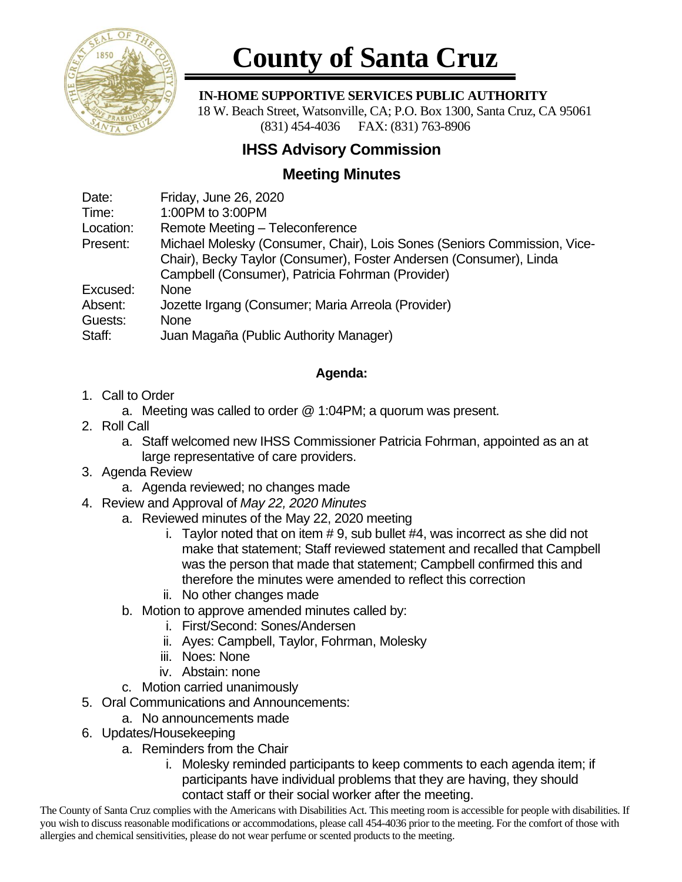

# **County of Santa Cruz**

#### **IN-HOME SUPPORTIVE SERVICES PUBLIC AUTHORITY**

 18 W. Beach Street, Watsonville, CA; P.O. Box 1300, Santa Cruz, CA 95061 (831) 454-4036 FAX: (831) 763-8906

## **IHSS Advisory Commission**

## **Meeting Minutes**

| Date:     | Friday, June 26, 2020                                                    |
|-----------|--------------------------------------------------------------------------|
| Time:     | 1:00PM to 3:00PM                                                         |
| Location: | Remote Meeting - Teleconference                                          |
| Present:  | Michael Molesky (Consumer, Chair), Lois Sones (Seniors Commission, Vice- |
|           | Chair), Becky Taylor (Consumer), Foster Andersen (Consumer), Linda       |
|           | Campbell (Consumer), Patricia Fohrman (Provider)                         |
| Excused:  | <b>None</b>                                                              |
| Absent:   | Jozette Irgang (Consumer; Maria Arreola (Provider)                       |
| Guests:   | <b>None</b>                                                              |
| Staff:    | Juan Magaña (Public Authority Manager)                                   |
|           |                                                                          |

### **Agenda:**

- 1. Call to Order
	- a. Meeting was called to order @ 1:04PM; a quorum was present.
- 2. Roll Call
	- a. Staff welcomed new IHSS Commissioner Patricia Fohrman, appointed as an at large representative of care providers.
- 3. Agenda Review
	- a. Agenda reviewed; no changes made
- 4. Review and Approval of *May 22, 2020 Minutes*
	- a. Reviewed minutes of the May 22, 2020 meeting
		- i. Taylor noted that on item # 9, sub bullet #4, was incorrect as she did not make that statement; Staff reviewed statement and recalled that Campbell was the person that made that statement; Campbell confirmed this and therefore the minutes were amended to reflect this correction
		- ii. No other changes made
	- b. Motion to approve amended minutes called by:
		- i. First/Second: Sones/Andersen
		- ii. Ayes: Campbell, Taylor, Fohrman, Molesky
		- iii. Noes: None
		- iv. Abstain: none
	- c. Motion carried unanimously
- 5. Oral Communications and Announcements:
	- a. No announcements made
- 6. Updates/Housekeeping
	- a. Reminders from the Chair
		- i. Molesky reminded participants to keep comments to each agenda item; if participants have individual problems that they are having, they should contact staff or their social worker after the meeting.

The County of Santa Cruz complies with the Americans with Disabilities Act. This meeting room is accessible for people with disabilities. If you wish to discuss reasonable modifications or accommodations, please call 454-4036 prior to the meeting. For the comfort of those with allergies and chemical sensitivities, please do not wear perfume or scented products to the meeting.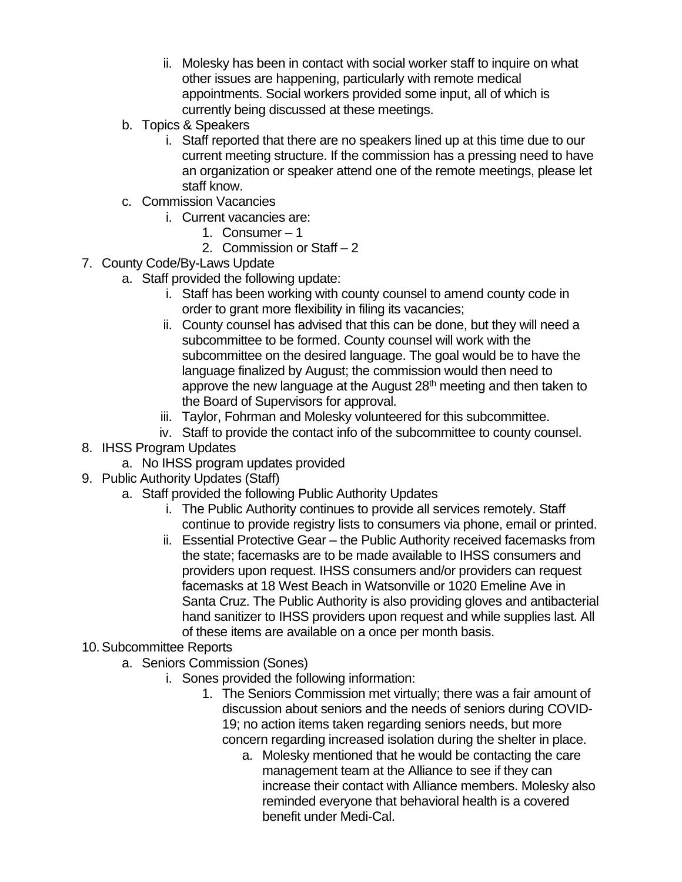- ii. Molesky has been in contact with social worker staff to inquire on what other issues are happening, particularly with remote medical appointments. Social workers provided some input, all of which is currently being discussed at these meetings.
- b. Topics & Speakers
	- i. Staff reported that there are no speakers lined up at this time due to our current meeting structure. If the commission has a pressing need to have an organization or speaker attend one of the remote meetings, please let staff know.
- c. Commission Vacancies
	- i. Current vacancies are:
		- 1. Consumer 1
		- 2. Commission or Staff 2
- 7. County Code/By-Laws Update
	- a. Staff provided the following update:
		- i. Staff has been working with county counsel to amend county code in order to grant more flexibility in filing its vacancies;
		- ii. County counsel has advised that this can be done, but they will need a subcommittee to be formed. County counsel will work with the subcommittee on the desired language. The goal would be to have the language finalized by August; the commission would then need to approve the new language at the August  $28<sup>th</sup>$  meeting and then taken to the Board of Supervisors for approval.
		- iii. Taylor, Fohrman and Molesky volunteered for this subcommittee.
		- iv. Staff to provide the contact info of the subcommittee to county counsel.
- 8. IHSS Program Updates
	- a. No IHSS program updates provided
- 9. Public Authority Updates (Staff)
	- a. Staff provided the following Public Authority Updates
		- i. The Public Authority continues to provide all services remotely. Staff continue to provide registry lists to consumers via phone, email or printed.
		- ii. Essential Protective Gear the Public Authority received facemasks from the state; facemasks are to be made available to IHSS consumers and providers upon request. IHSS consumers and/or providers can request facemasks at 18 West Beach in Watsonville or 1020 Emeline Ave in Santa Cruz. The Public Authority is also providing gloves and antibacterial hand sanitizer to IHSS providers upon request and while supplies last. All of these items are available on a once per month basis.
- 10.Subcommittee Reports
	- a. Seniors Commission (Sones)
		- i. Sones provided the following information:
			- 1. The Seniors Commission met virtually; there was a fair amount of discussion about seniors and the needs of seniors during COVID-19; no action items taken regarding seniors needs, but more concern regarding increased isolation during the shelter in place.
				- a. Molesky mentioned that he would be contacting the care management team at the Alliance to see if they can increase their contact with Alliance members. Molesky also reminded everyone that behavioral health is a covered benefit under Medi-Cal.